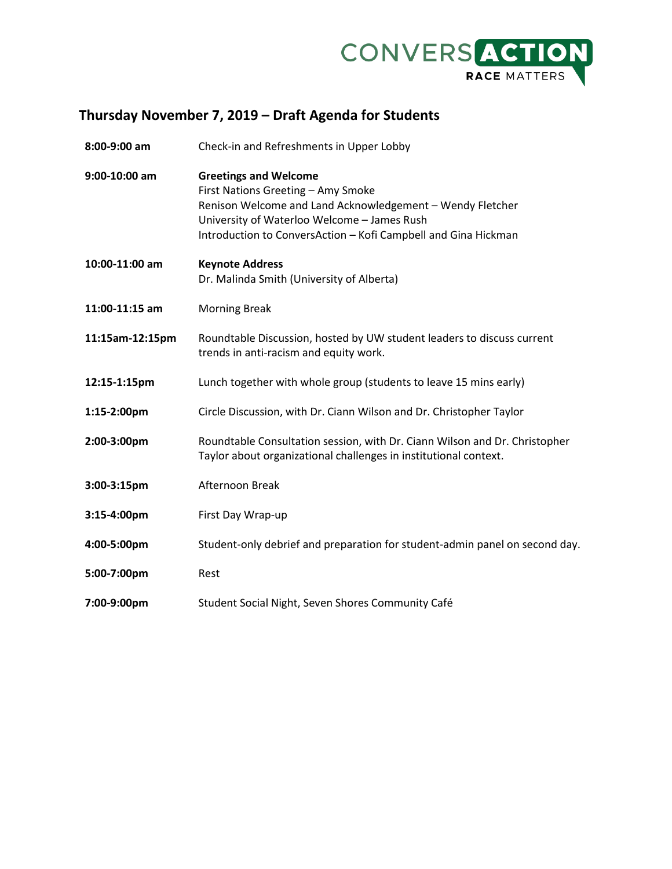

## **Thursday November 7, 2019 – Draft Agenda for Students**

| 8:00-9:00 am    | Check-in and Refreshments in Upper Lobby                                                                                                                                                                                                         |
|-----------------|--------------------------------------------------------------------------------------------------------------------------------------------------------------------------------------------------------------------------------------------------|
| 9:00-10:00 am   | <b>Greetings and Welcome</b><br>First Nations Greeting - Amy Smoke<br>Renison Welcome and Land Acknowledgement - Wendy Fletcher<br>University of Waterloo Welcome - James Rush<br>Introduction to ConversAction - Kofi Campbell and Gina Hickman |
| 10:00-11:00 am  | <b>Keynote Address</b><br>Dr. Malinda Smith (University of Alberta)                                                                                                                                                                              |
| 11:00-11:15 am  | <b>Morning Break</b>                                                                                                                                                                                                                             |
| 11:15am-12:15pm | Roundtable Discussion, hosted by UW student leaders to discuss current<br>trends in anti-racism and equity work.                                                                                                                                 |
| 12:15-1:15pm    | Lunch together with whole group (students to leave 15 mins early)                                                                                                                                                                                |
| 1:15-2:00pm     | Circle Discussion, with Dr. Ciann Wilson and Dr. Christopher Taylor                                                                                                                                                                              |
| 2:00-3:00pm     | Roundtable Consultation session, with Dr. Ciann Wilson and Dr. Christopher<br>Taylor about organizational challenges in institutional context.                                                                                                   |
| 3:00-3:15pm     | Afternoon Break                                                                                                                                                                                                                                  |
| 3:15-4:00pm     | First Day Wrap-up                                                                                                                                                                                                                                |
| 4:00-5:00pm     | Student-only debrief and preparation for student-admin panel on second day.                                                                                                                                                                      |
| 5:00-7:00pm     | Rest                                                                                                                                                                                                                                             |
| 7:00-9:00pm     | Student Social Night, Seven Shores Community Café                                                                                                                                                                                                |